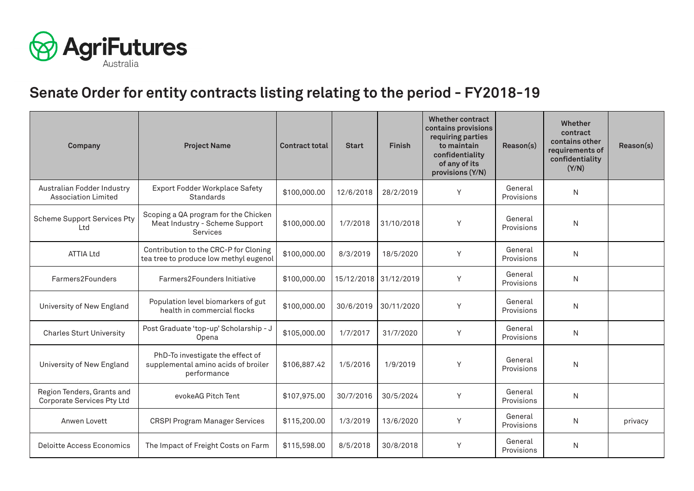

## **Senate Order for entity contracts listing relating to the period - FY2018-19**

| Company                                                  | <b>Project Name</b>                                                                    | <b>Contract total</b> | <b>Start</b> | <b>Finish</b> | <b>Whether contract</b><br>contains provisions<br>requiring parties<br>to maintain<br>confidentiality<br>of any of its<br>provisions (Y/N) | Reason(s)             | Whether<br>contract<br>contains other<br>requirements of<br>confidentiality<br>(Y/N) | Reason(s) |
|----------------------------------------------------------|----------------------------------------------------------------------------------------|-----------------------|--------------|---------------|--------------------------------------------------------------------------------------------------------------------------------------------|-----------------------|--------------------------------------------------------------------------------------|-----------|
| Australian Fodder Industry<br><b>Association Limited</b> | Export Fodder Workplace Safety<br>Standards                                            | \$100,000.00          | 12/6/2018    | 28/2/2019     | Y                                                                                                                                          | General<br>Provisions | N                                                                                    |           |
| <b>Scheme Support Services Pty</b><br>Ltd                | Scoping a QA program for the Chicken<br>Meat Industry - Scheme Support<br>Services     | \$100,000.00          | 1/7/2018     | 31/10/2018    | Y                                                                                                                                          | General<br>Provisions | N                                                                                    |           |
| <b>ATTIA Ltd</b>                                         | Contribution to the CRC-P for Cloning<br>tea tree to produce low methyl eugenol        | \$100,000.00          | 8/3/2019     | 18/5/2020     | Y                                                                                                                                          | General<br>Provisions | N                                                                                    |           |
| Farmers2Founders                                         | Farmers2Founders Initiative                                                            | \$100,000.00          | 15/12/2018   | 31/12/2019    | Y                                                                                                                                          | General<br>Provisions | N                                                                                    |           |
| University of New England                                | Population level biomarkers of gut<br>health in commercial flocks                      | \$100,000.00          | 30/6/2019    | 30/11/2020    | Y                                                                                                                                          | General<br>Provisions | N                                                                                    |           |
| <b>Charles Sturt University</b>                          | Post Graduate 'top-up' Scholarship - J<br>Opena                                        | \$105,000.00          | 1/7/2017     | 31/7/2020     | Y                                                                                                                                          | General<br>Provisions | N                                                                                    |           |
| University of New England                                | PhD-To investigate the effect of<br>supplemental amino acids of broiler<br>performance | \$106,887.42          | 1/5/2016     | 1/9/2019      | Y                                                                                                                                          | General<br>Provisions | N                                                                                    |           |
| Region Tenders, Grants and<br>Corporate Services Pty Ltd | evokeAG Pitch Tent                                                                     | \$107,975.00          | 30/7/2016    | 30/5/2024     | Υ                                                                                                                                          | General<br>Provisions | N                                                                                    |           |
| Anwen Lovett                                             | <b>CRSPI Program Manager Services</b>                                                  | \$115,200.00          | 1/3/2019     | 13/6/2020     | Y                                                                                                                                          | General<br>Provisions | N                                                                                    | privacy   |
| <b>Deloitte Access Economics</b>                         | The Impact of Freight Costs on Farm                                                    | \$115,598.00          | 8/5/2018     | 30/8/2018     | Y                                                                                                                                          | General<br>Provisions | N                                                                                    |           |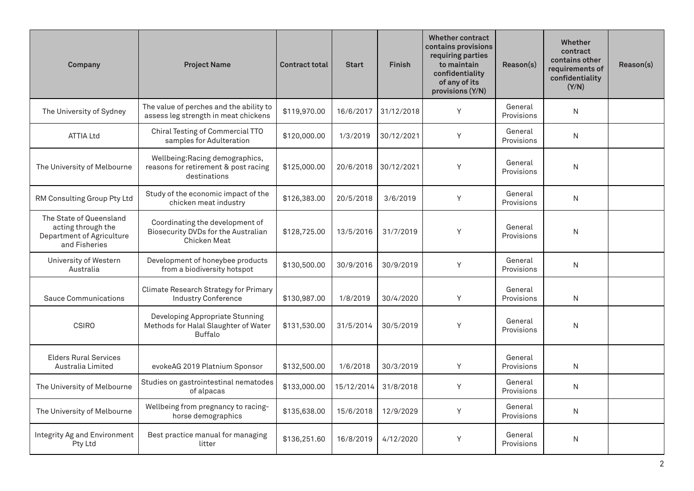| Company                                                                                     | <b>Project Name</b>                                                                       | <b>Contract total</b> | <b>Start</b> | <b>Finish</b> | <b>Whether contract</b><br>contains provisions<br>requiring parties<br>to maintain<br>confidentiality<br>of any of its<br>provisions (Y/N) | Reason(s)             | <b>Whether</b><br>contract<br>contains other<br>requirements of<br>confidentiality<br>(Y/N) | Reason(s) |
|---------------------------------------------------------------------------------------------|-------------------------------------------------------------------------------------------|-----------------------|--------------|---------------|--------------------------------------------------------------------------------------------------------------------------------------------|-----------------------|---------------------------------------------------------------------------------------------|-----------|
| The University of Sydney                                                                    | The value of perches and the ability to<br>assess leg strength in meat chickens           | \$119,970.00          | 16/6/2017    | 31/12/2018    | Y                                                                                                                                          | General<br>Provisions | N                                                                                           |           |
| <b>ATTIA Ltd</b>                                                                            | Chiral Testing of Commercial TTO<br>samples for Adulteration                              | \$120,000.00          | 1/3/2019     | 30/12/2021    | Y                                                                                                                                          | General<br>Provisions | N                                                                                           |           |
| The University of Melbourne                                                                 | Wellbeing: Racing demographics,<br>reasons for retirement & post racing<br>destinations   | \$125,000.00          | 20/6/2018    | 30/12/2021    | Y                                                                                                                                          | General<br>Provisions | N                                                                                           |           |
| RM Consulting Group Pty Ltd                                                                 | Study of the economic impact of the<br>chicken meat industry                              | \$126,383.00          | 20/5/2018    | 3/6/2019      | Y                                                                                                                                          | General<br>Provisions | N                                                                                           |           |
| The State of Queensland<br>acting through the<br>Department of Agriculture<br>and Fisheries | Coordinating the development of<br>Biosecurity DVDs for the Australian<br>Chicken Meat    | \$128,725.00          | 13/5/2016    | 31/7/2019     | Y                                                                                                                                          | General<br>Provisions | N                                                                                           |           |
| University of Western<br>Australia                                                          | Development of honeybee products<br>from a biodiversity hotspot                           | \$130,500.00          | 30/9/2016    | 30/9/2019     | Y                                                                                                                                          | General<br>Provisions | $\mathsf{N}$                                                                                |           |
| <b>Sauce Communications</b>                                                                 | Climate Research Strategy for Primary<br><b>Industry Conference</b>                       | \$130,987.00          | 1/8/2019     | 30/4/2020     | Υ                                                                                                                                          | General<br>Provisions | N                                                                                           |           |
| <b>CSIRO</b>                                                                                | Developing Appropriate Stunning<br>Methods for Halal Slaughter of Water<br><b>Buffalo</b> | \$131,530.00          | 31/5/2014    | 30/5/2019     | Y                                                                                                                                          | General<br>Provisions | N                                                                                           |           |
| <b>Elders Rural Services</b><br>Australia Limited                                           | evokeAG 2019 Platnium Sponsor                                                             | \$132,500.00          | 1/6/2018     | 30/3/2019     | Y                                                                                                                                          | General<br>Provisions | N                                                                                           |           |
| The University of Melbourne                                                                 | Studies on gastrointestinal nematodes<br>of alpacas                                       | \$133,000.00          | 15/12/2014   | 31/8/2018     | Y                                                                                                                                          | General<br>Provisions | N                                                                                           |           |
| The University of Melbourne                                                                 | Wellbeing from pregnancy to racing-<br>horse demographics                                 | \$135,638.00          | 15/6/2018    | 12/9/2029     | Y                                                                                                                                          | General<br>Provisions | N                                                                                           |           |
| Integrity Ag and Environment<br>Pty Ltd                                                     | Best practice manual for managing<br>litter                                               | \$136,251.60          | 16/8/2019    | 4/12/2020     | Y                                                                                                                                          | General<br>Provisions | N                                                                                           |           |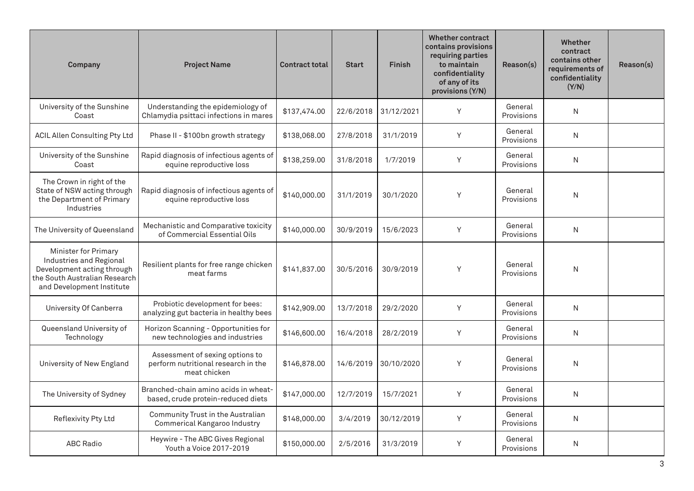| Company                                                                                                                                     | <b>Project Name</b>                                                                    | <b>Contract total</b> | <b>Start</b> | <b>Finish</b> | <b>Whether contract</b><br>contains provisions<br>requiring parties<br>to maintain<br>confidentiality<br>of any of its<br>provisions (Y/N) | Reason(s)             | Whether<br>contract<br>contains other<br>requirements of<br>confidentiality<br>(Y/N) | Reason(s) |
|---------------------------------------------------------------------------------------------------------------------------------------------|----------------------------------------------------------------------------------------|-----------------------|--------------|---------------|--------------------------------------------------------------------------------------------------------------------------------------------|-----------------------|--------------------------------------------------------------------------------------|-----------|
| University of the Sunshine<br>Coast                                                                                                         | Understanding the epidemiology of<br>Chlamydia psittaci infections in mares            | \$137,474.00          | 22/6/2018    | 31/12/2021    | Y                                                                                                                                          | General<br>Provisions | N                                                                                    |           |
| <b>ACIL Allen Consulting Pty Ltd</b>                                                                                                        | Phase II - \$100bn growth strategy                                                     | \$138,068.00          | 27/8/2018    | 31/1/2019     | Y                                                                                                                                          | General<br>Provisions | N                                                                                    |           |
| University of the Sunshine<br>Coast                                                                                                         | Rapid diagnosis of infectious agents of<br>equine reproductive loss                    | \$138,259.00          | 31/8/2018    | 1/7/2019      | Y                                                                                                                                          | General<br>Provisions | N                                                                                    |           |
| The Crown in right of the<br>State of NSW acting through<br>the Department of Primary<br>Industries                                         | Rapid diagnosis of infectious agents of<br>equine reproductive loss                    | \$140,000.00          | 31/1/2019    | 30/1/2020     | Y                                                                                                                                          | General<br>Provisions | N                                                                                    |           |
| The University of Queensland                                                                                                                | Mechanistic and Comparative toxicity<br>of Commercial Essential Oils                   | \$140,000.00          | 30/9/2019    | 15/6/2023     | Y                                                                                                                                          | General<br>Provisions | N                                                                                    |           |
| Minister for Primary<br>Industries and Regional<br>Development acting through<br>the South Australian Research<br>and Development Institute | Resilient plants for free range chicken<br>meat farms                                  | \$141,837.00          | 30/5/2016    | 30/9/2019     | Y                                                                                                                                          | General<br>Provisions | N                                                                                    |           |
| University Of Canberra                                                                                                                      | Probiotic development for bees:<br>analyzing gut bacteria in healthy bees              | \$142,909.00          | 13/7/2018    | 29/2/2020     | Y                                                                                                                                          | General<br>Provisions | N                                                                                    |           |
| Queensland University of<br>Technology                                                                                                      | Horizon Scanning - Opportunities for<br>new technologies and industries                | \$146,600.00          | 16/4/2018    | 28/2/2019     | Y                                                                                                                                          | General<br>Provisions | N                                                                                    |           |
| University of New England                                                                                                                   | Assessment of sexing options to<br>perform nutritional research in the<br>meat chicken | \$146,878.00          | 14/6/2019    | 30/10/2020    | Y                                                                                                                                          | General<br>Provisions | N                                                                                    |           |
| The University of Sydney                                                                                                                    | Branched-chain amino acids in wheat-<br>based, crude protein-reduced diets             | \$147,000.00          | 12/7/2019    | 15/7/2021     | Y                                                                                                                                          | General<br>Provisions | N                                                                                    |           |
| Reflexivity Pty Ltd                                                                                                                         | Community Trust in the Australian<br>Commerical Kangaroo Industry                      | \$148,000.00          | 3/4/2019     | 30/12/2019    | Y                                                                                                                                          | General<br>Provisions | N                                                                                    |           |
| <b>ABC Radio</b>                                                                                                                            | Heywire - The ABC Gives Regional<br>Youth a Voice 2017-2019                            | \$150,000.00          | 2/5/2016     | 31/3/2019     | Y                                                                                                                                          | General<br>Provisions | N                                                                                    |           |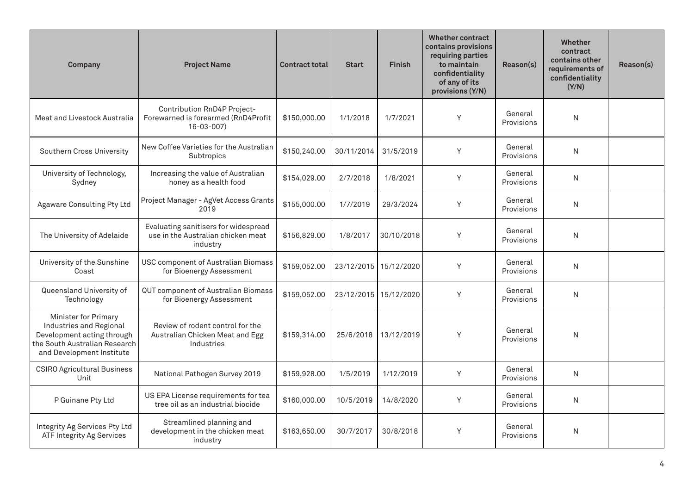| Company                                                                                                                                            | <b>Project Name</b>                                                                    | <b>Contract total</b> | <b>Start</b> | <b>Finish</b> | <b>Whether contract</b><br>contains provisions<br>requiring parties<br>to maintain<br>confidentiality<br>of any of its<br>provisions (Y/N) | Reason(s)             | <b>Whether</b><br>contract<br>contains other<br>requirements of<br>confidentiality<br>(Y/N) | Reason(s) |
|----------------------------------------------------------------------------------------------------------------------------------------------------|----------------------------------------------------------------------------------------|-----------------------|--------------|---------------|--------------------------------------------------------------------------------------------------------------------------------------------|-----------------------|---------------------------------------------------------------------------------------------|-----------|
| Meat and Livestock Australia                                                                                                                       | Contribution RnD4P Project-<br>Forewarned is forearmed (RnD4Profit<br>$16 - 03 - 007$  | \$150,000.00          | 1/1/2018     | 1/7/2021      | Y                                                                                                                                          | General<br>Provisions | N                                                                                           |           |
| Southern Cross University                                                                                                                          | New Coffee Varieties for the Australian<br>Subtropics                                  | \$150,240.00          | 30/11/2014   | 31/5/2019     | Y                                                                                                                                          | General<br>Provisions | N                                                                                           |           |
| University of Technology,<br>Sydney                                                                                                                | Increasing the value of Australian<br>honey as a health food                           | \$154,029.00          | 2/7/2018     | 1/8/2021      | Υ                                                                                                                                          | General<br>Provisions | N                                                                                           |           |
| Agaware Consulting Pty Ltd                                                                                                                         | Project Manager - AgVet Access Grants<br>2019                                          | \$155,000.00          | 1/7/2019     | 29/3/2024     | Y                                                                                                                                          | General<br>Provisions | N                                                                                           |           |
| The University of Adelaide                                                                                                                         | Evaluating sanitisers for widespread<br>use in the Australian chicken meat<br>industry | \$156,829.00          | 1/8/2017     | 30/10/2018    | Y                                                                                                                                          | General<br>Provisions | N                                                                                           |           |
| University of the Sunshine<br>Coast                                                                                                                | USC component of Australian Biomass<br>for Bioenergy Assessment                        | \$159,052.00          | 23/12/2015   | 15/12/2020    | Y                                                                                                                                          | General<br>Provisions | $\mathsf{N}$                                                                                |           |
| Queensland University of<br>Technology                                                                                                             | QUT component of Australian Biomass<br>for Bioenergy Assessment                        | \$159,052.00          | 23/12/2015   | 15/12/2020    | Y                                                                                                                                          | General<br>Provisions | N                                                                                           |           |
| <b>Minister for Primary</b><br>Industries and Regional<br>Development acting through<br>the South Australian Research<br>and Development Institute | Review of rodent control for the<br>Australian Chicken Meat and Egg<br>Industries      | \$159.314.00          | 25/6/2018    | 13/12/2019    | Y                                                                                                                                          | General<br>Provisions | N                                                                                           |           |
| <b>CSIRO Agricultural Business</b><br>Unit                                                                                                         | National Pathogen Survey 2019                                                          | \$159,928.00          | 1/5/2019     | 1/12/2019     | Y                                                                                                                                          | General<br>Provisions | N                                                                                           |           |
| P Guinane Pty Ltd                                                                                                                                  | US EPA License requirements for tea<br>tree oil as an industrial biocide               | \$160,000.00          | 10/5/2019    | 14/8/2020     | Υ                                                                                                                                          | General<br>Provisions | $\mathsf{N}$                                                                                |           |
| Integrity Ag Services Pty Ltd<br>ATF Integrity Ag Services                                                                                         | Streamlined planning and<br>development in the chicken meat<br>industry                | \$163,650.00          | 30/7/2017    | 30/8/2018     | Y                                                                                                                                          | General<br>Provisions | $\mathsf{N}$                                                                                |           |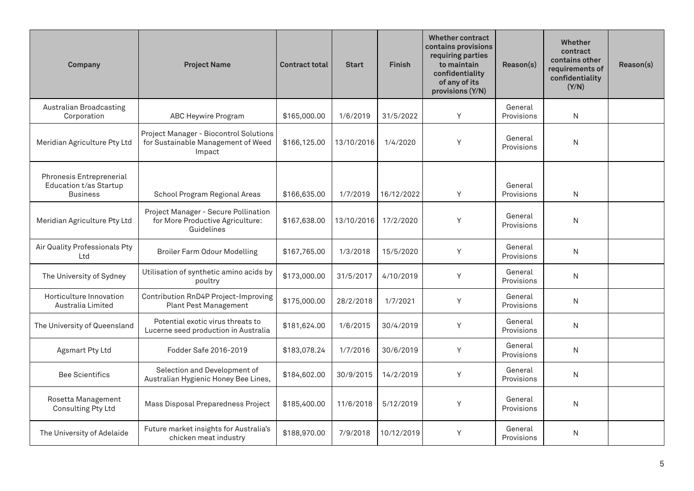| Company                                                                      | <b>Project Name</b>                                                                    | <b>Contract total</b> | <b>Start</b> | <b>Finish</b> | <b>Whether contract</b><br>contains provisions<br>requiring parties<br>to maintain<br>confidentiality<br>of any of its<br>provisions (Y/N) | Reason(s)             | Whether<br>contract<br>contains other<br>requirements of<br>confidentiality<br>(Y/N) | Reason(s) |
|------------------------------------------------------------------------------|----------------------------------------------------------------------------------------|-----------------------|--------------|---------------|--------------------------------------------------------------------------------------------------------------------------------------------|-----------------------|--------------------------------------------------------------------------------------|-----------|
| Australian Broadcasting<br>Corporation                                       | ABC Heywire Program                                                                    | \$165,000.00          | 1/6/2019     | 31/5/2022     | Y                                                                                                                                          | General<br>Provisions | N                                                                                    |           |
| Meridian Agriculture Pty Ltd                                                 | Project Manager - Biocontrol Solutions<br>for Sustainable Management of Weed<br>Impact | \$166,125.00          | 13/10/2016   | 1/4/2020      | Y                                                                                                                                          | General<br>Provisions | N                                                                                    |           |
| Phronesis Entreprenerial<br><b>Education t/as Startup</b><br><b>Business</b> | School Program Regional Areas                                                          | \$166,635.00          | 1/7/2019     | 16/12/2022    | Y                                                                                                                                          | General<br>Provisions | N                                                                                    |           |
| Meridian Agriculture Pty Ltd                                                 | Project Manager - Secure Pollination<br>for More Productive Agriculture:<br>Guidelines | \$167,638.00          | 13/10/2016   | 17/2/2020     | Y                                                                                                                                          | General<br>Provisions | N                                                                                    |           |
| Air Quality Professionals Pty<br>Ltd                                         | <b>Broiler Farm Odour Modelling</b>                                                    | \$167,765.00          | 1/3/2018     | 15/5/2020     | Y                                                                                                                                          | General<br>Provisions | N                                                                                    |           |
| The University of Sydney                                                     | Utilisation of synthetic amino acids by<br>poultry                                     | \$173,000.00          | 31/5/2017    | 4/10/2019     | Y                                                                                                                                          | General<br>Provisions | N                                                                                    |           |
| Horticulture Innovation<br>Australia Limited                                 | Contribution RnD4P Project-Improving<br><b>Plant Pest Management</b>                   | \$175,000.00          | 28/2/2018    | 1/7/2021      | Y                                                                                                                                          | General<br>Provisions | N                                                                                    |           |
| The University of Queensland                                                 | Potential exotic virus threats to<br>Lucerne seed production in Australia              | \$181,624.00          | 1/6/2015     | 30/4/2019     | Y                                                                                                                                          | General<br>Provisions | N                                                                                    |           |
| Agsmart Pty Ltd                                                              | Fodder Safe 2016-2019                                                                  | \$183,078.24          | 1/7/2016     | 30/6/2019     | Y                                                                                                                                          | General<br>Provisions | N                                                                                    |           |
| <b>Bee Scientifics</b>                                                       | Selection and Development of<br>Australian Hygienic Honey Bee Lines,                   | \$184,602.00          | 30/9/2015    | 14/2/2019     | Y                                                                                                                                          | General<br>Provisions | N                                                                                    |           |
| Rosetta Management<br>Consulting Pty Ltd                                     | Mass Disposal Preparedness Project                                                     | \$185,400.00          | 11/6/2018    | 5/12/2019     | Y                                                                                                                                          | General<br>Provisions | N                                                                                    |           |
| The University of Adelaide                                                   | Future market insights for Australia's<br>chicken meat industry                        | \$188,970.00          | 7/9/2018     | 10/12/2019    | Y                                                                                                                                          | General<br>Provisions | N                                                                                    |           |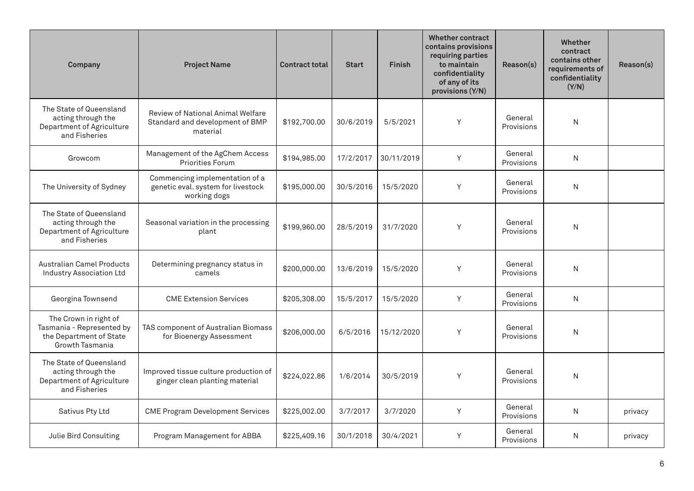| Company                                                                                          | <b>Project Name</b>                                                                  | <b>Contract total</b> | <b>Start</b> | <b>Finish</b> | <b>Whether contract</b><br>contains provisions<br>requiring parties<br>to maintain<br>confidentiality<br>of any of its<br>provisions (Y/N) | Reason(s)             | Whether<br>contract<br>contains other<br>requirements of<br>confidentiality<br>(Y/N) | Reason(s) |
|--------------------------------------------------------------------------------------------------|--------------------------------------------------------------------------------------|-----------------------|--------------|---------------|--------------------------------------------------------------------------------------------------------------------------------------------|-----------------------|--------------------------------------------------------------------------------------|-----------|
| The State of Queensland<br>acting through the<br>Department of Agriculture<br>and Fisheries      | Review of National Animal Welfare<br>Standard and development of BMP<br>material     | \$192,700.00          | 30/6/2019    | 5/5/2021      | Y                                                                                                                                          | General<br>Provisions | N                                                                                    |           |
| Growcom                                                                                          | Management of the AgChem Access<br><b>Priorities Forum</b>                           | \$194,985.00          | 17/2/2017    | 30/11/2019    | Y                                                                                                                                          | General<br>Provisions | N                                                                                    |           |
| The University of Sydney                                                                         | Commencing implementation of a<br>genetic eval. system for livestock<br>working dogs | \$195,000.00          | 30/5/2016    | 15/5/2020     | Y                                                                                                                                          | General<br>Provisions | N                                                                                    |           |
| The State of Queensland<br>acting through the<br>Department of Agriculture<br>and Fisheries      | Seasonal variation in the processing<br>plant                                        | \$199,960.00          | 28/5/2019    | 31/7/2020     | Y                                                                                                                                          | General<br>Provisions | ${\sf N}$                                                                            |           |
| <b>Australian Camel Products</b><br><b>Industry Association Ltd</b>                              | Determining pregnancy status in<br>camels                                            | \$200,000.00          | 13/6/2019    | 15/5/2020     | Y                                                                                                                                          | General<br>Provisions | $\mathsf{N}$                                                                         |           |
| Georgina Townsend                                                                                | <b>CME Extension Services</b>                                                        | \$205,308.00          | 15/5/2017    | 15/5/2020     | Y                                                                                                                                          | General<br>Provisions | N                                                                                    |           |
| The Crown in right of<br>Tasmania - Represented by<br>the Department of State<br>Growth Tasmania | TAS component of Australian Biomass<br>for Bioenergy Assessment                      | \$206,000.00          | 6/5/2016     | 15/12/2020    | Y                                                                                                                                          | General<br>Provisions | N                                                                                    |           |
| The State of Queensland<br>acting through the<br>Department of Agriculture<br>and Fisheries      | Improved tissue culture production of<br>ginger clean planting material              | \$224,022.86          | 1/6/2014     | 30/5/2019     | Y                                                                                                                                          | General<br>Provisions | N                                                                                    |           |
| Sativus Pty Ltd                                                                                  | <b>CME Program Development Services</b>                                              | \$225,002.00          | 3/7/2017     | 3/7/2020      | Y                                                                                                                                          | General<br>Provisions | N                                                                                    | privacy   |
| Julie Bird Consulting                                                                            | Program Management for ABBA                                                          | \$225,409.16          | 30/1/2018    | 30/4/2021     | Y                                                                                                                                          | General<br>Provisions | N                                                                                    | privacy   |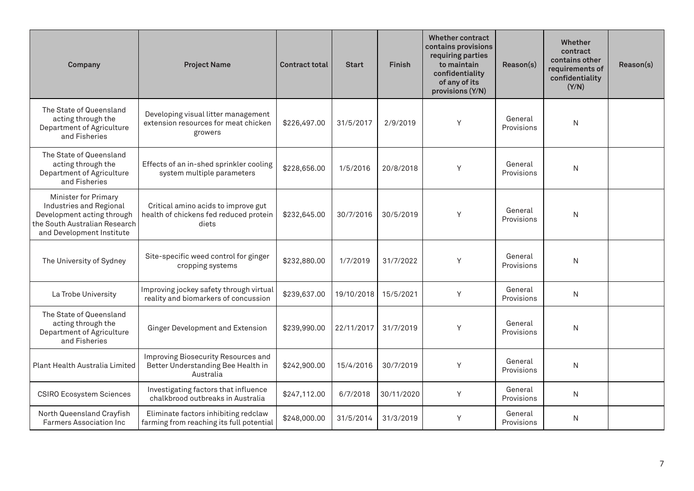| Company                                                                                                                                     | <b>Project Name</b>                                                                    | <b>Contract total</b> | <b>Start</b> | <b>Finish</b> | <b>Whether contract</b><br>contains provisions<br>requiring parties<br>to maintain<br>confidentiality<br>of any of its<br>provisions (Y/N) | Reason(s)             | Whether<br>contract<br>contains other<br>requirements of<br>confidentiality<br>(Y/N) | Reason(s) |
|---------------------------------------------------------------------------------------------------------------------------------------------|----------------------------------------------------------------------------------------|-----------------------|--------------|---------------|--------------------------------------------------------------------------------------------------------------------------------------------|-----------------------|--------------------------------------------------------------------------------------|-----------|
| The State of Queensland<br>acting through the<br>Department of Agriculture<br>and Fisheries                                                 | Developing visual litter management<br>extension resources for meat chicken<br>growers | \$226,497.00          | 31/5/2017    | 2/9/2019      | Y                                                                                                                                          | General<br>Provisions | N                                                                                    |           |
| The State of Queensland<br>acting through the<br>Department of Agriculture<br>and Fisheries                                                 | Effects of an in-shed sprinkler cooling<br>system multiple parameters                  | \$228,656.00          | 1/5/2016     | 20/8/2018     | Y                                                                                                                                          | General<br>Provisions | N                                                                                    |           |
| Minister for Primary<br>Industries and Regional<br>Development acting through<br>the South Australian Research<br>and Development Institute | Critical amino acids to improve gut<br>health of chickens fed reduced protein<br>diets | \$232,645.00          | 30/7/2016    | 30/5/2019     | Y                                                                                                                                          | General<br>Provisions | N                                                                                    |           |
| The University of Sydney                                                                                                                    | Site-specific weed control for ginger<br>cropping systems                              | \$232,880.00          | 1/7/2019     | 31/7/2022     | Y                                                                                                                                          | General<br>Provisions | $\mathsf{N}$                                                                         |           |
| La Trobe University                                                                                                                         | Improving jockey safety through virtual<br>reality and biomarkers of concussion        | \$239,637.00          | 19/10/2018   | 15/5/2021     | Y                                                                                                                                          | General<br>Provisions | N                                                                                    |           |
| The State of Queensland<br>acting through the<br>Department of Agriculture<br>and Fisheries                                                 | Ginger Development and Extension                                                       | \$239,990.00          | 22/11/2017   | 31/7/2019     | Y                                                                                                                                          | General<br>Provisions | N                                                                                    |           |
| Plant Health Australia Limited                                                                                                              | Improving Biosecurity Resources and<br>Better Understanding Bee Health in<br>Australia | \$242,900.00          | 15/4/2016    | 30/7/2019     | Y                                                                                                                                          | General<br>Provisions | N                                                                                    |           |
| <b>CSIRO Ecosystem Sciences</b>                                                                                                             | Investigating factors that influence<br>chalkbrood outbreaks in Australia              | \$247,112.00          | 6/7/2018     | 30/11/2020    | Y                                                                                                                                          | General<br>Provisions | N                                                                                    |           |
| North Queensland Crayfish<br><b>Farmers Association Inc.</b>                                                                                | Eliminate factors inhibiting redclaw<br>farming from reaching its full potential       | \$248,000.00          | 31/5/2014    | 31/3/2019     | Y                                                                                                                                          | General<br>Provisions | N                                                                                    |           |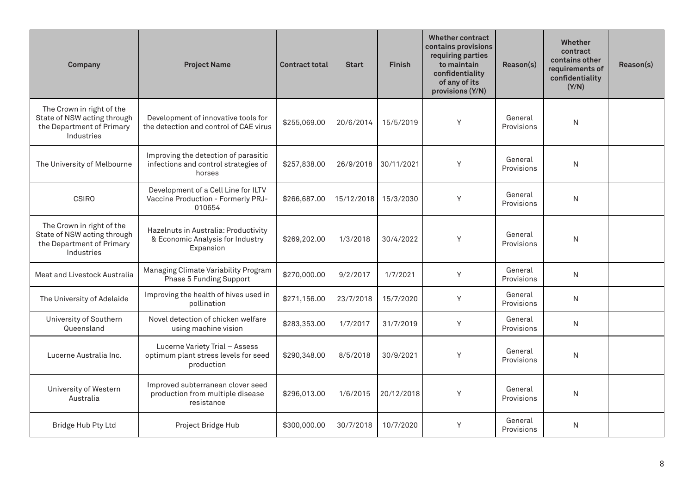| Company                                                                                             | <b>Project Name</b>                                                                    | <b>Contract total</b> | <b>Start</b> | <b>Finish</b> | <b>Whether contract</b><br>contains provisions<br>requiring parties<br>to maintain<br>confidentiality<br>of any of its<br>provisions (Y/N) | Reason(s)             | <b>Whether</b><br>contract<br>contains other<br>requirements of<br>confidentiality<br>(Y/N) | Reason(s) |
|-----------------------------------------------------------------------------------------------------|----------------------------------------------------------------------------------------|-----------------------|--------------|---------------|--------------------------------------------------------------------------------------------------------------------------------------------|-----------------------|---------------------------------------------------------------------------------------------|-----------|
| The Crown in right of the<br>State of NSW acting through<br>the Department of Primary<br>Industries | Development of innovative tools for<br>the detection and control of CAE virus          | \$255,069.00          | 20/6/2014    | 15/5/2019     | Y                                                                                                                                          | General<br>Provisions | $\mathsf{N}$                                                                                |           |
| The University of Melbourne                                                                         | Improving the detection of parasitic<br>infections and control strategies of<br>horses | \$257,838.00          | 26/9/2018    | 30/11/2021    | Y                                                                                                                                          | General<br>Provisions | $\mathsf{N}$                                                                                |           |
| <b>CSIRO</b>                                                                                        | Development of a Cell Line for ILTV<br>Vaccine Production - Formerly PRJ-<br>010654    | \$266,687.00          | 15/12/2018   | 15/3/2030     | Y                                                                                                                                          | General<br>Provisions | N                                                                                           |           |
| The Crown in right of the<br>State of NSW acting through<br>the Department of Primary<br>Industries | Hazelnuts in Australia: Productivity<br>& Economic Analysis for Industry<br>Expansion  | \$269,202.00          | 1/3/2018     | 30/4/2022     | Y                                                                                                                                          | General<br>Provisions | N                                                                                           |           |
| Meat and Livestock Australia                                                                        | Managing Climate Variability Program<br>Phase 5 Funding Support                        | \$270,000.00          | 9/2/2017     | 1/7/2021      | Y                                                                                                                                          | General<br>Provisions | N                                                                                           |           |
| The University of Adelaide                                                                          | Improving the health of hives used in<br>pollination                                   | \$271,156.00          | 23/7/2018    | 15/7/2020     | Y                                                                                                                                          | General<br>Provisions | N                                                                                           |           |
| University of Southern<br>Queensland                                                                | Novel detection of chicken welfare<br>using machine vision                             | \$283,353.00          | 1/7/2017     | 31/7/2019     | Y                                                                                                                                          | General<br>Provisions | N                                                                                           |           |
| Lucerne Australia Inc.                                                                              | Lucerne Variety Trial - Assess<br>optimum plant stress levels for seed<br>production   | \$290,348.00          | 8/5/2018     | 30/9/2021     | Y                                                                                                                                          | General<br>Provisions | $\mathsf{N}$                                                                                |           |
| University of Western<br>Australia                                                                  | Improved subterranean clover seed<br>production from multiple disease<br>resistance    | \$296,013.00          | 1/6/2015     | 20/12/2018    | Y                                                                                                                                          | General<br>Provisions | $\mathsf{N}$                                                                                |           |
| Bridge Hub Pty Ltd                                                                                  | Project Bridge Hub                                                                     | \$300,000.00          | 30/7/2018    | 10/7/2020     | Y                                                                                                                                          | General<br>Provisions | N                                                                                           |           |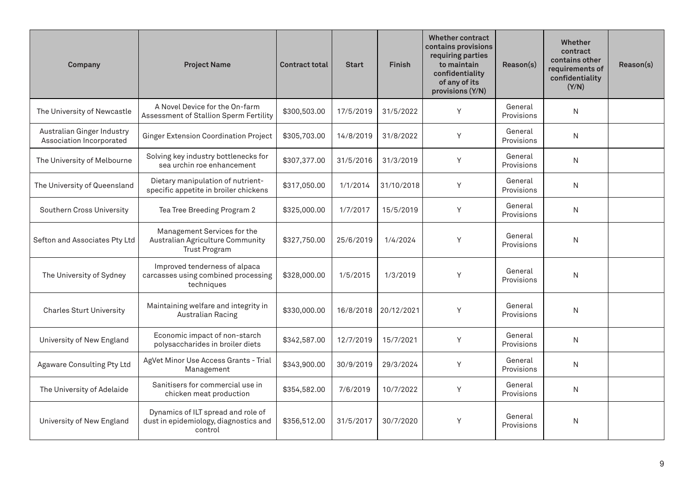| Company                                                | <b>Project Name</b>                                                                     | <b>Contract total</b> | <b>Start</b> | <b>Finish</b> | <b>Whether contract</b><br>contains provisions<br>requiring parties<br>to maintain<br>confidentiality<br>of any of its<br>provisions (Y/N) | Reason(s)             | Whether<br>contract<br>contains other<br>requirements of<br>confidentiality<br>(Y/N) | Reason(s) |
|--------------------------------------------------------|-----------------------------------------------------------------------------------------|-----------------------|--------------|---------------|--------------------------------------------------------------------------------------------------------------------------------------------|-----------------------|--------------------------------------------------------------------------------------|-----------|
| The University of Newcastle                            | A Novel Device for the On-farm<br>Assessment of Stallion Sperm Fertility                | \$300,503.00          | 17/5/2019    | 31/5/2022     | Y                                                                                                                                          | General<br>Provisions | N                                                                                    |           |
| Australian Ginger Industry<br>Association Incorporated | <b>Ginger Extension Coordination Project</b>                                            | \$305,703.00          | 14/8/2019    | 31/8/2022     | Y                                                                                                                                          | General<br>Provisions | N                                                                                    |           |
| The University of Melbourne                            | Solving key industry bottlenecks for<br>sea urchin roe enhancement                      | \$307,377.00          | 31/5/2016    | 31/3/2019     | Y                                                                                                                                          | General<br>Provisions | N                                                                                    |           |
| The University of Queensland                           | Dietary manipulation of nutrient-<br>specific appetite in broiler chickens              | \$317,050.00          | 1/1/2014     | 31/10/2018    | Y                                                                                                                                          | General<br>Provisions | N                                                                                    |           |
| Southern Cross University                              | Tea Tree Breeding Program 2                                                             | \$325,000.00          | 1/7/2017     | 15/5/2019     | Y                                                                                                                                          | General<br>Provisions | N                                                                                    |           |
| Sefton and Associates Pty Ltd                          | Management Services for the<br>Australian Agriculture Community<br><b>Trust Program</b> | \$327,750.00          | 25/6/2019    | 1/4/2024      | Y                                                                                                                                          | General<br>Provisions | N                                                                                    |           |
| The University of Sydney                               | Improved tenderness of alpaca<br>carcasses using combined processing<br>techniques      | \$328,000.00          | 1/5/2015     | 1/3/2019      | Y                                                                                                                                          | General<br>Provisions | N                                                                                    |           |
| <b>Charles Sturt University</b>                        | Maintaining welfare and integrity in<br><b>Australian Racing</b>                        | \$330,000.00          | 16/8/2018    | 20/12/2021    | Y                                                                                                                                          | General<br>Provisions | N                                                                                    |           |
| University of New England                              | Economic impact of non-starch<br>polysaccharides in broiler diets                       | \$342,587.00          | 12/7/2019    | 15/7/2021     | Y                                                                                                                                          | General<br>Provisions | N                                                                                    |           |
| Agaware Consulting Pty Ltd                             | AgVet Minor Use Access Grants - Trial<br>Management                                     | \$343,900.00          | 30/9/2019    | 29/3/2024     | Y                                                                                                                                          | General<br>Provisions | N                                                                                    |           |
| The University of Adelaide                             | Sanitisers for commercial use in<br>chicken meat production                             | \$354,582.00          | 7/6/2019     | 10/7/2022     | Y                                                                                                                                          | General<br>Provisions | N                                                                                    |           |
| University of New England                              | Dynamics of ILT spread and role of<br>dust in epidemiology, diagnostics and<br>control  | \$356,512.00          | 31/5/2017    | 30/7/2020     | Y                                                                                                                                          | General<br>Provisions | N                                                                                    |           |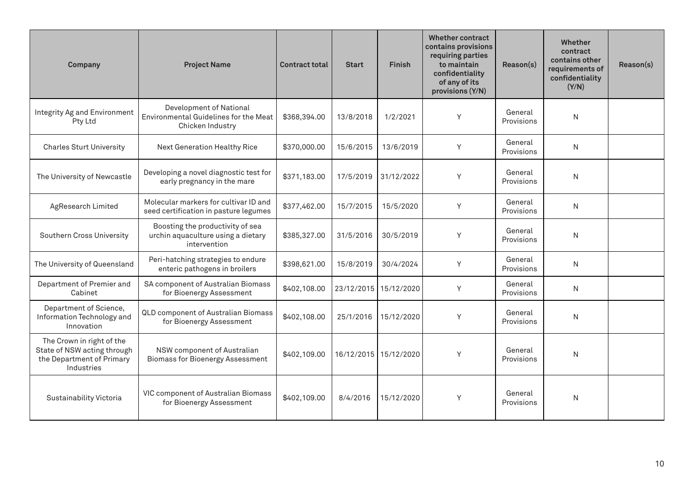| Company                                                                                             | <b>Project Name</b>                                                                    | <b>Contract total</b> | <b>Start</b> | Finish     | <b>Whether contract</b><br>contains provisions<br>requiring parties<br>to maintain<br>confidentiality<br>of any of its<br>provisions (Y/N) | Reason(s)             | <b>Whether</b><br>contract<br>contains other<br>requirements of<br>confidentiality<br>(Y/N) | Reason(s) |
|-----------------------------------------------------------------------------------------------------|----------------------------------------------------------------------------------------|-----------------------|--------------|------------|--------------------------------------------------------------------------------------------------------------------------------------------|-----------------------|---------------------------------------------------------------------------------------------|-----------|
| Integrity Ag and Environment<br>Pty Ltd                                                             | Development of National<br>Environmental Guidelines for the Meat<br>Chicken Industry   | \$368,394.00          | 13/8/2018    | 1/2/2021   | Y                                                                                                                                          | General<br>Provisions | $\mathsf{N}$                                                                                |           |
| <b>Charles Sturt University</b>                                                                     | Next Generation Healthy Rice                                                           | \$370,000.00          | 15/6/2015    | 13/6/2019  | Y                                                                                                                                          | General<br>Provisions | $\mathsf{N}$                                                                                |           |
| The University of Newcastle                                                                         | Developing a novel diagnostic test for<br>early pregnancy in the mare                  | \$371,183.00          | 17/5/2019    | 31/12/2022 | Y                                                                                                                                          | General<br>Provisions | $\mathsf{N}$                                                                                |           |
| AgResearch Limited                                                                                  | Molecular markers for cultivar ID and<br>seed certification in pasture legumes         | \$377,462.00          | 15/7/2015    | 15/5/2020  | Y                                                                                                                                          | General<br>Provisions | N                                                                                           |           |
| Southern Cross University                                                                           | Boosting the productivity of sea<br>urchin aquaculture using a dietary<br>intervention | \$385,327.00          | 31/5/2016    | 30/5/2019  | Y                                                                                                                                          | General<br>Provisions | $\mathsf{N}$                                                                                |           |
| The University of Queensland                                                                        | Peri-hatching strategies to endure<br>enteric pathogens in broilers                    | \$398,621.00          | 15/8/2019    | 30/4/2024  | Y                                                                                                                                          | General<br>Provisions | N                                                                                           |           |
| Department of Premier and<br>Cabinet                                                                | SA component of Australian Biomass<br>for Bioenergy Assessment                         | \$402,108.00          | 23/12/2015   | 15/12/2020 | Y                                                                                                                                          | General<br>Provisions | N                                                                                           |           |
| Department of Science,<br>Information Technology and<br>Innovation                                  | QLD component of Australian Biomass<br>for Bioenergy Assessment                        | \$402,108.00          | 25/1/2016    | 15/12/2020 | Y                                                                                                                                          | General<br>Provisions | N                                                                                           |           |
| The Crown in right of the<br>State of NSW acting through<br>the Department of Primary<br>Industries | NSW component of Australian<br><b>Biomass for Bioenergy Assessment</b>                 | \$402,109.00          | 16/12/2015   | 15/12/2020 | Y                                                                                                                                          | General<br>Provisions | $\mathsf{N}$                                                                                |           |
| Sustainability Victoria                                                                             | VIC component of Australian Biomass<br>for Bioenergy Assessment                        | \$402,109.00          | 8/4/2016     | 15/12/2020 | Y                                                                                                                                          | General<br>Provisions | N                                                                                           |           |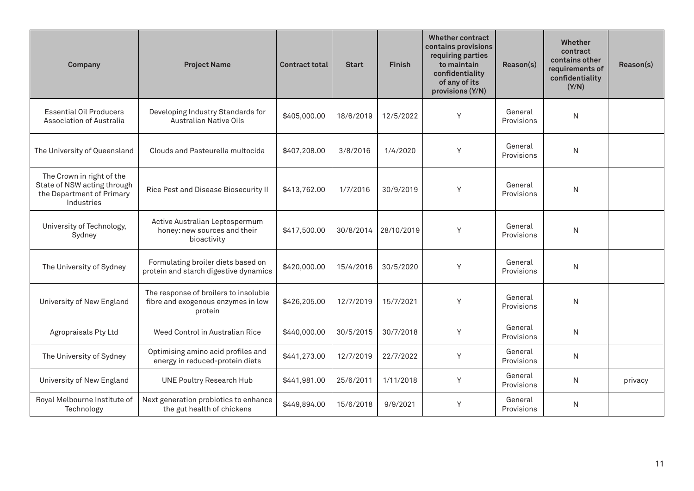| Company                                                                                             | <b>Project Name</b>                                                                    | <b>Contract total</b> | <b>Start</b> | Finish     | <b>Whether contract</b><br>contains provisions<br>requiring parties<br>to maintain<br>confidentiality<br>of any of its<br>provisions (Y/N) | Reason(s)             | <b>Whether</b><br>contract<br>contains other<br>requirements of<br>confidentiality<br>(Y/N) | Reason(s) |
|-----------------------------------------------------------------------------------------------------|----------------------------------------------------------------------------------------|-----------------------|--------------|------------|--------------------------------------------------------------------------------------------------------------------------------------------|-----------------------|---------------------------------------------------------------------------------------------|-----------|
| <b>Essential Oil Producers</b><br>Association of Australia                                          | Developing Industry Standards for<br><b>Australian Native Oils</b>                     | \$405,000.00          | 18/6/2019    | 12/5/2022  | Y                                                                                                                                          | General<br>Provisions | $\mathsf{N}$                                                                                |           |
| The University of Queensland                                                                        | Clouds and Pasteurella multocida                                                       | \$407,208.00          | 3/8/2016     | 1/4/2020   | Y                                                                                                                                          | General<br>Provisions | N                                                                                           |           |
| The Crown in right of the<br>State of NSW acting through<br>the Department of Primary<br>Industries | Rice Pest and Disease Biosecurity II                                                   | \$413,762.00          | 1/7/2016     | 30/9/2019  | Y                                                                                                                                          | General<br>Provisions | N                                                                                           |           |
| University of Technology,<br>Sydney                                                                 | Active Australian Leptospermum<br>honey: new sources and their<br>bioactivity          | \$417,500.00          | 30/8/2014    | 28/10/2019 | Y                                                                                                                                          | General<br>Provisions | $\mathsf{N}$                                                                                |           |
| The University of Sydney                                                                            | Formulating broiler diets based on<br>protein and starch digestive dynamics            | \$420,000.00          | 15/4/2016    | 30/5/2020  | Y                                                                                                                                          | General<br>Provisions | $\mathsf{N}$                                                                                |           |
| University of New England                                                                           | The response of broilers to insoluble<br>fibre and exogenous enzymes in low<br>protein | \$426,205.00          | 12/7/2019    | 15/7/2021  | Y                                                                                                                                          | General<br>Provisions | N                                                                                           |           |
| Agropraisals Pty Ltd                                                                                | Weed Control in Australian Rice                                                        | \$440,000.00          | 30/5/2015    | 30/7/2018  | Y                                                                                                                                          | General<br>Provisions | $\mathsf{N}$                                                                                |           |
| The University of Sydney                                                                            | Optimising amino acid profiles and<br>energy in reduced-protein diets                  | \$441,273.00          | 12/7/2019    | 22/7/2022  | Y                                                                                                                                          | General<br>Provisions | N                                                                                           |           |
| University of New England                                                                           | <b>UNE Poultry Research Hub</b>                                                        | \$441,981.00          | 25/6/2011    | 1/11/2018  | Y                                                                                                                                          | General<br>Provisions | N                                                                                           | privacy   |
| Royal Melbourne Institute of<br>Technology                                                          | Next generation probiotics to enhance<br>the gut health of chickens                    | \$449,894.00          | 15/6/2018    | 9/9/2021   | Y                                                                                                                                          | General<br>Provisions | N                                                                                           |           |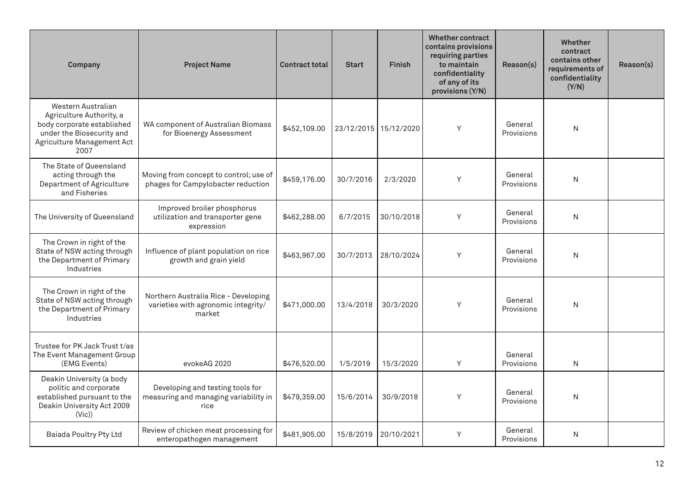| Company                                                                                                                                         | <b>Project Name</b>                                                                   | <b>Contract total</b> | <b>Start</b> | <b>Finish</b>         | <b>Whether contract</b><br>contains provisions<br>requiring parties<br>to maintain<br>confidentiality<br>of any of its<br>provisions (Y/N) | Reason(s)             | <b>Whether</b><br>contract<br>contains other<br>requirements of<br>confidentiality<br>(Y/N) | Reason(s) |
|-------------------------------------------------------------------------------------------------------------------------------------------------|---------------------------------------------------------------------------------------|-----------------------|--------------|-----------------------|--------------------------------------------------------------------------------------------------------------------------------------------|-----------------------|---------------------------------------------------------------------------------------------|-----------|
| Western Australian<br>Agriculture Authority, a<br>body corporate established<br>under the Biosecurity and<br>Agriculture Management Act<br>2007 | WA component of Australian Biomass<br>for Bioenergy Assessment                        | \$452,109.00          |              | 23/12/2015 15/12/2020 | Y                                                                                                                                          | General<br>Provisions | N                                                                                           |           |
| The State of Queensland<br>acting through the<br>Department of Agriculture<br>and Fisheries                                                     | Moving from concept to control; use of<br>phages for Campylobacter reduction          | \$459,176.00          | 30/7/2016    | 2/3/2020              | Y                                                                                                                                          | General<br>Provisions | $\mathsf{N}$                                                                                |           |
| The University of Queensland                                                                                                                    | Improved broiler phosphorus<br>utilization and transporter gene<br>expression         | \$462,288.00          | 6/7/2015     | 30/10/2018            | Y                                                                                                                                          | General<br>Provisions | N                                                                                           |           |
| The Crown in right of the<br>State of NSW acting through<br>the Department of Primary<br>Industries                                             | Influence of plant population on rice<br>growth and grain yield                       | \$463,967.00          | 30/7/2013    | 28/10/2024            | Y                                                                                                                                          | General<br>Provisions | $\mathsf{N}$                                                                                |           |
| The Crown in right of the<br>State of NSW acting through<br>the Department of Primary<br>Industries                                             | Northern Australia Rice - Developing<br>varieties with agronomic integrity/<br>market | \$471,000.00          | 13/4/2018    | 30/3/2020             | Y                                                                                                                                          | General<br>Provisions | N                                                                                           |           |
| Trustee for PK Jack Trust t/as<br>The Event Management Group<br>(EMG Events)                                                                    | evokeAG 2020                                                                          | \$476,520.00          | 1/5/2019     | 15/3/2020             | Y                                                                                                                                          | General<br>Provisions | N                                                                                           |           |
| Deakin University (a body<br>politic and corporate<br>established pursuant to the<br>Deakin University Act 2009<br>(Vic)                        | Developing and testing tools for<br>measuring and managing variability in<br>rice     | \$479,359.00          | 15/6/2014    | 30/9/2018             | Y                                                                                                                                          | General<br>Provisions | $\mathsf{N}$                                                                                |           |
| Baiada Poultry Pty Ltd                                                                                                                          | Review of chicken meat processing for<br>enteropathogen management                    | \$481,905.00          | 15/8/2019    | 20/10/2021            | Y                                                                                                                                          | General<br>Provisions | N                                                                                           |           |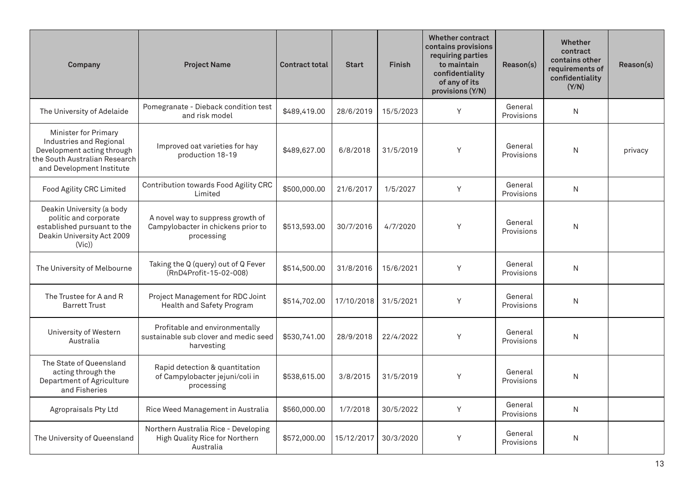| Company                                                                                                                                     | <b>Project Name</b>                                                                   | <b>Contract total</b> | <b>Start</b> | <b>Finish</b> | <b>Whether contract</b><br>contains provisions<br>requiring parties<br>to maintain<br>confidentiality<br>of any of its<br>provisions (Y/N) | Reason(s)             | Whether<br>contract<br>contains other<br>requirements of<br>confidentiality<br>(Y/N) | Reason(s) |
|---------------------------------------------------------------------------------------------------------------------------------------------|---------------------------------------------------------------------------------------|-----------------------|--------------|---------------|--------------------------------------------------------------------------------------------------------------------------------------------|-----------------------|--------------------------------------------------------------------------------------|-----------|
| The University of Adelaide                                                                                                                  | Pomegranate - Dieback condition test<br>and risk model                                | \$489,419.00          | 28/6/2019    | 15/5/2023     | Y                                                                                                                                          | General<br>Provisions | N                                                                                    |           |
| Minister for Primary<br>Industries and Regional<br>Development acting through<br>the South Australian Research<br>and Development Institute | Improved oat varieties for hay<br>production 18-19                                    | \$489,627.00          | 6/8/2018     | 31/5/2019     | Y                                                                                                                                          | General<br>Provisions | N                                                                                    | privacy   |
| Food Agility CRC Limited                                                                                                                    | Contribution towards Food Agility CRC<br>Limited                                      | \$500,000.00          | 21/6/2017    | 1/5/2027      | Y                                                                                                                                          | General<br>Provisions | N                                                                                    |           |
| Deakin University (a body<br>politic and corporate<br>established pursuant to the<br>Deakin University Act 2009<br>(Vic)                    | A novel way to suppress growth of<br>Campylobacter in chickens prior to<br>processing | \$513,593.00          | 30/7/2016    | 4/7/2020      | Y                                                                                                                                          | General<br>Provisions | N                                                                                    |           |
| The University of Melbourne                                                                                                                 | Taking the Q (query) out of Q Fever<br>(RnD4Profit-15-02-008)                         | \$514,500.00          | 31/8/2016    | 15/6/2021     | Y                                                                                                                                          | General<br>Provisions | N                                                                                    |           |
| The Trustee for A and R<br><b>Barrett Trust</b>                                                                                             | Project Management for RDC Joint<br>Health and Safety Program                         | \$514,702.00          | 17/10/2018   | 31/5/2021     | Y                                                                                                                                          | General<br>Provisions | N                                                                                    |           |
| University of Western<br>Australia                                                                                                          | Profitable and environmentally<br>sustainable sub clover and medic seed<br>harvesting | \$530,741.00          | 28/9/2018    | 22/4/2022     | Y                                                                                                                                          | General<br>Provisions | N                                                                                    |           |
| The State of Queensland<br>acting through the<br>Department of Agriculture<br>and Fisheries                                                 | Rapid detection & quantitation<br>of Campylobacter jejuni/coli in<br>processing       | \$538,615.00          | 3/8/2015     | 31/5/2019     | Y                                                                                                                                          | General<br>Provisions | N                                                                                    |           |
| Agropraisals Pty Ltd                                                                                                                        | Rice Weed Management in Australia                                                     | \$560,000.00          | 1/7/2018     | 30/5/2022     | Y                                                                                                                                          | General<br>Provisions | N                                                                                    |           |
| The University of Queensland                                                                                                                | Northern Australia Rice - Developing<br>High Quality Rice for Northern<br>Australia   | \$572,000.00          | 15/12/2017   | 30/3/2020     | Y                                                                                                                                          | General<br>Provisions | N                                                                                    |           |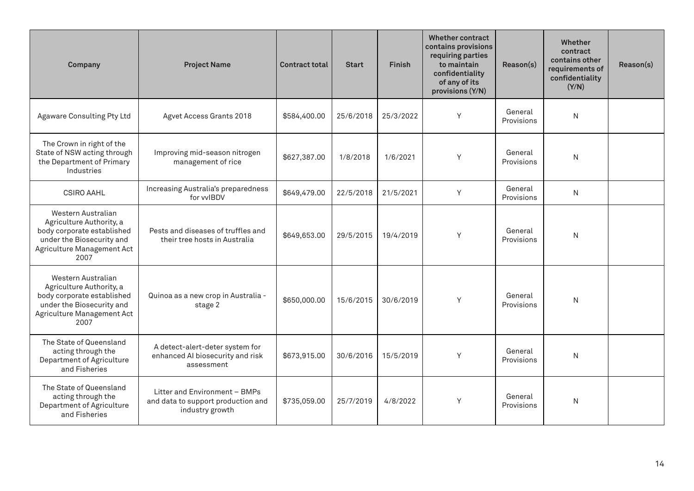| Company                                                                                                                                         | <b>Project Name</b>                                                                    | <b>Contract total</b> | <b>Start</b> | <b>Finish</b> | <b>Whether contract</b><br>contains provisions<br>requiring parties<br>to maintain<br>confidentiality<br>of any of its<br>provisions (Y/N) | Reason(s)             | Whether<br>contract<br>contains other<br>requirements of<br>confidentiality<br>(Y/N) | Reason(s) |
|-------------------------------------------------------------------------------------------------------------------------------------------------|----------------------------------------------------------------------------------------|-----------------------|--------------|---------------|--------------------------------------------------------------------------------------------------------------------------------------------|-----------------------|--------------------------------------------------------------------------------------|-----------|
| Agaware Consulting Pty Ltd                                                                                                                      | Agvet Access Grants 2018                                                               | \$584,400.00          | 25/6/2018    | 25/3/2022     | Y                                                                                                                                          | General<br>Provisions | N                                                                                    |           |
| The Crown in right of the<br>State of NSW acting through<br>the Department of Primary<br>Industries                                             | Improving mid-season nitrogen<br>management of rice                                    | \$627,387.00          | 1/8/2018     | 1/6/2021      | Y                                                                                                                                          | General<br>Provisions | N                                                                                    |           |
| CSIRO AAHL                                                                                                                                      | Increasing Australia's preparedness<br>for vvIBDV                                      | \$649,479.00          | 22/5/2018    | 21/5/2021     | Y                                                                                                                                          | General<br>Provisions | N                                                                                    |           |
| Western Australian<br>Agriculture Authority, a<br>body corporate established<br>under the Biosecurity and<br>Agriculture Management Act<br>2007 | Pests and diseases of truffles and<br>their tree hosts in Australia                    | \$649,653.00          | 29/5/2015    | 19/4/2019     | Y                                                                                                                                          | General<br>Provisions | N                                                                                    |           |
| Western Australian<br>Agriculture Authority, a<br>body corporate established<br>under the Biosecurity and<br>Agriculture Management Act<br>2007 | Quinoa as a new crop in Australia -<br>stage 2                                         | \$650,000.00          | 15/6/2015    | 30/6/2019     | Y                                                                                                                                          | General<br>Provisions | N                                                                                    |           |
| The State of Queensland<br>acting through the<br>Department of Agriculture<br>and Fisheries                                                     | A detect-alert-deter system for<br>enhanced AI biosecurity and risk<br>assessment      | \$673,915.00          | 30/6/2016    | 15/5/2019     | Y                                                                                                                                          | General<br>Provisions | N                                                                                    |           |
| The State of Queensland<br>acting through the<br>Department of Agriculture<br>and Fisheries                                                     | Litter and Environment - BMPs<br>and data to support production and<br>industry growth | \$735,059.00          | 25/7/2019    | 4/8/2022      | Y                                                                                                                                          | General<br>Provisions | N                                                                                    |           |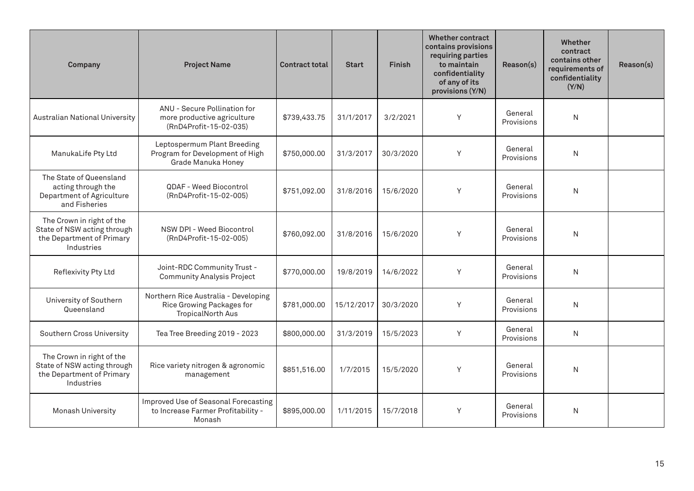| Company                                                                                             | <b>Project Name</b>                                                                           | <b>Contract total</b> | <b>Start</b> | <b>Finish</b> | <b>Whether contract</b><br>contains provisions<br>requiring parties<br>to maintain<br>confidentiality<br>of any of its<br>provisions (Y/N) | Reason(s)             | Whether<br>contract<br>contains other<br>requirements of<br>confidentiality<br>(Y/N) | Reason(s) |
|-----------------------------------------------------------------------------------------------------|-----------------------------------------------------------------------------------------------|-----------------------|--------------|---------------|--------------------------------------------------------------------------------------------------------------------------------------------|-----------------------|--------------------------------------------------------------------------------------|-----------|
| Australian National University                                                                      | ANU - Secure Pollination for<br>more productive agriculture<br>(RnD4Profit-15-02-035)         | \$739,433.75          | 31/1/2017    | 3/2/2021      | Y                                                                                                                                          | General<br>Provisions | N                                                                                    |           |
| ManukaLife Pty Ltd                                                                                  | Leptospermum Plant Breeding<br>Program for Development of High<br>Grade Manuka Honey          | \$750,000.00          | 31/3/2017    | 30/3/2020     | Y                                                                                                                                          | General<br>Provisions | N                                                                                    |           |
| The State of Queensland<br>acting through the<br>Department of Agriculture<br>and Fisheries         | QDAF - Weed Biocontrol<br>(RnD4Profit-15-02-005)                                              | \$751,092.00          | 31/8/2016    | 15/6/2020     | Y                                                                                                                                          | General<br>Provisions | $\mathsf{N}$                                                                         |           |
| The Crown in right of the<br>State of NSW acting through<br>the Department of Primary<br>Industries | NSW DPI - Weed Biocontrol<br>(RnD4Profit-15-02-005)                                           | \$760,092.00          | 31/8/2016    | 15/6/2020     | Y                                                                                                                                          | General<br>Provisions | N                                                                                    |           |
| Reflexivity Pty Ltd                                                                                 | Joint-RDC Community Trust -<br><b>Community Analysis Project</b>                              | \$770,000.00          | 19/8/2019    | 14/6/2022     | Y                                                                                                                                          | General<br>Provisions | $\mathsf{N}$                                                                         |           |
| University of Southern<br>Queensland                                                                | Northern Rice Australia - Developing<br>Rice Growing Packages for<br><b>TropicalNorth Aus</b> | \$781,000.00          | 15/12/2017   | 30/3/2020     | Y                                                                                                                                          | General<br>Provisions | $\mathsf{N}$                                                                         |           |
| Southern Cross University                                                                           | Tea Tree Breeding 2019 - 2023                                                                 | \$800,000.00          | 31/3/2019    | 15/5/2023     | Y                                                                                                                                          | General<br>Provisions | N                                                                                    |           |
| The Crown in right of the<br>State of NSW acting through<br>the Department of Primary<br>Industries | Rice variety nitrogen & agronomic<br>management                                               | \$851,516.00          | 1/7/2015     | 15/5/2020     | Y                                                                                                                                          | General<br>Provisions | N                                                                                    |           |
| Monash University                                                                                   | Improved Use of Seasonal Forecasting<br>to Increase Farmer Profitability -<br>Monash          | \$895,000.00          | 1/11/2015    | 15/7/2018     | Y                                                                                                                                          | General<br>Provisions | $\mathsf{N}$                                                                         |           |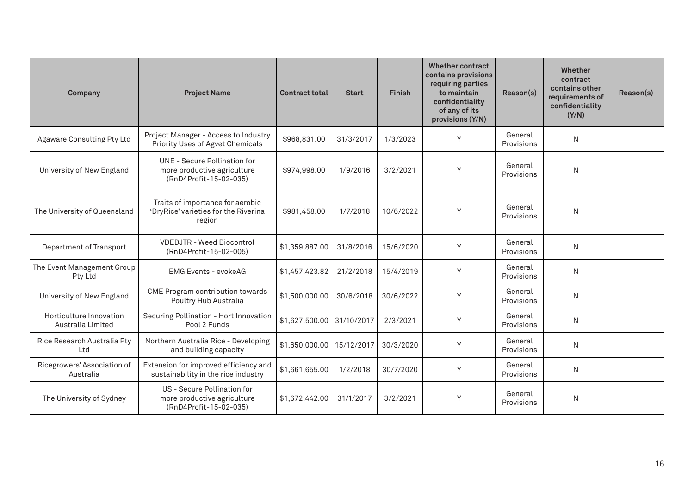| Company                                      | <b>Project Name</b>                                                                          | <b>Contract total</b> | <b>Start</b> | <b>Finish</b> | <b>Whether contract</b><br>contains provisions<br>requiring parties<br>to maintain<br>confidentiality<br>of any of its<br>provisions (Y/N) | Reason(s)             | Whether<br>contract<br>contains other<br>requirements of<br>confidentiality<br>(Y/N) | Reason(s) |
|----------------------------------------------|----------------------------------------------------------------------------------------------|-----------------------|--------------|---------------|--------------------------------------------------------------------------------------------------------------------------------------------|-----------------------|--------------------------------------------------------------------------------------|-----------|
| <b>Agaware Consulting Pty Ltd</b>            | Project Manager - Access to Industry<br>Priority Uses of Agvet Chemicals                     | \$968,831.00          | 31/3/2017    | 1/3/2023      | Y                                                                                                                                          | General<br>Provisions | N                                                                                    |           |
| University of New England                    | <b>UNE - Secure Pollination for</b><br>more productive agriculture<br>(RnD4Profit-15-02-035) | \$974,998.00          | 1/9/2016     | 3/2/2021      | Y                                                                                                                                          | General<br>Provisions | N                                                                                    |           |
| The University of Queensland                 | Traits of importance for aerobic<br>'DryRice' varieties for the Riverina<br>region           | \$981,458.00          | 1/7/2018     | 10/6/2022     | Y                                                                                                                                          | General<br>Provisions | N                                                                                    |           |
| Department of Transport                      | <b>VDEDJTR - Weed Biocontrol</b><br>(RnD4Profit-15-02-005)                                   | \$1,359,887.00        | 31/8/2016    | 15/6/2020     | Y                                                                                                                                          | General<br>Provisions | N                                                                                    |           |
| The Event Management Group<br>Pty Ltd        | <b>EMG Events - evokeAG</b>                                                                  | \$1,457,423.82        | 21/2/2018    | 15/4/2019     | Y                                                                                                                                          | General<br>Provisions | N                                                                                    |           |
| University of New England                    | CME Program contribution towards<br>Poultry Hub Australia                                    | \$1,500,000.00        | 30/6/2018    | 30/6/2022     | Y                                                                                                                                          | General<br>Provisions | N                                                                                    |           |
| Horticulture Innovation<br>Australia Limited | Securing Pollination - Hort Innovation<br>Pool 2 Funds                                       | \$1,627,500.00        | 31/10/2017   | 2/3/2021      | Y                                                                                                                                          | General<br>Provisions | N                                                                                    |           |
| Rice Research Australia Pty<br>Ltd           | Northern Australia Rice - Developing<br>and building capacity                                | \$1,650,000.00        | 15/12/2017   | 30/3/2020     | Y                                                                                                                                          | General<br>Provisions | N                                                                                    |           |
| Ricegrowers' Association of<br>Australia     | Extension for improved efficiency and<br>sustainability in the rice industry                 | \$1,661,655.00        | 1/2/2018     | 30/7/2020     | Y                                                                                                                                          | General<br>Provisions | N                                                                                    |           |
| The University of Sydney                     | US - Secure Pollination for<br>more productive agriculture<br>(RnD4Profit-15-02-035)         | \$1,672,442.00        | 31/1/2017    | 3/2/2021      | Y                                                                                                                                          | General<br>Provisions | N                                                                                    |           |